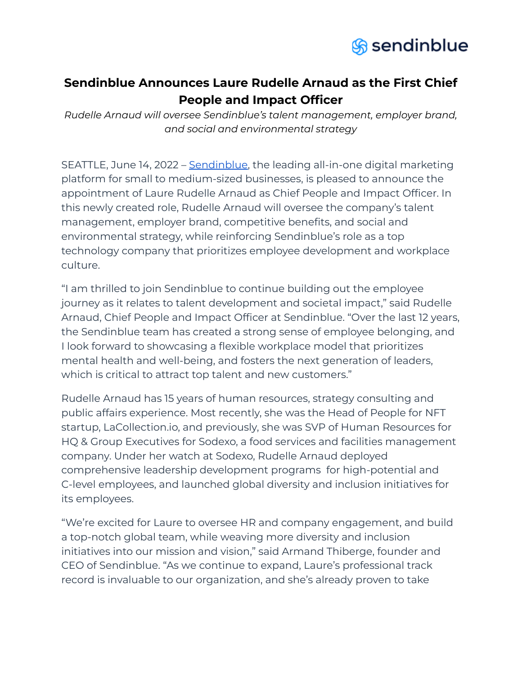

## **Sendinblue Announces Laure Rudelle Arnaud as the First Chief People and Impact Officer**

*Rudelle Arnaud will oversee Sendinblue's talent management, employer brand, and social and environmental strategy*

SEATTLE, June 14, 2022 - [Sendinblue,](https://www.sendinblue.com/) the leading all-in-one digital marketing platform for small to medium-sized businesses, is pleased to announce the appointment of Laure Rudelle Arnaud as Chief People and Impact Officer. In this newly created role, Rudelle Arnaud will oversee the company's talent management, employer brand, competitive benefits, and social and environmental strategy, while reinforcing Sendinblue's role as a top technology company that prioritizes employee development and workplace culture.

"I am thrilled to join Sendinblue to continue building out the employee journey as it relates to talent development and societal impact," said Rudelle Arnaud, Chief People and Impact Officer at Sendinblue. "Over the last 12 years, the Sendinblue team has created a strong sense of employee belonging, and I look forward to showcasing a flexible workplace model that prioritizes mental health and well-being, and fosters the next generation of leaders, which is critical to attract top talent and new customers."

Rudelle Arnaud has 15 years of human resources, strategy consulting and public affairs experience. Most recently, she was the Head of People for NFT startup, LaCollection.io, and previously, she was SVP of Human Resources for HQ & Group Executives for Sodexo, a food services and facilities management company. Under her watch at Sodexo, Rudelle Arnaud deployed comprehensive leadership development programs for high-potential and C-level employees, and launched global diversity and inclusion initiatives for its employees.

"We're excited for Laure to oversee HR and company engagement, and build a top-notch global team, while weaving more diversity and inclusion initiatives into our mission and vision," said Armand Thiberge, founder and CEO of Sendinblue. "As we continue to expand, Laure's professional track record is invaluable to our organization, and she's already proven to take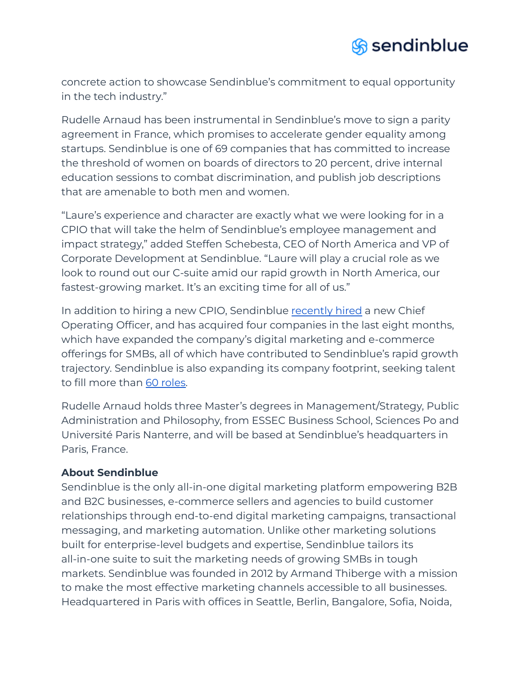

concrete action to showcase Sendinblue's commitment to equal opportunity in the tech industry."

Rudelle Arnaud has been instrumental in Sendinblue's move to sign a parity agreement in France, which promises to accelerate gender equality among startups. Sendinblue is one of 69 companies that has committed to increase the threshold of women on boards of directors to 20 percent, drive internal education sessions to combat discrimination, and publish job descriptions that are amenable to both men and women.

"Laure's experience and character are exactly what we were looking for in a CPIO that will take the helm of Sendinblue's employee management and impact strategy," added Steffen Schebesta, CEO of North America and VP of Corporate Development at Sendinblue. "Laure will play a crucial role as we look to round out our C-suite amid our rapid growth in North America, our fastest-growing market. It's an exciting time for all of us."

In addition to hiring a new CPIO, Sendinblue [recently](https://www.sendinblue.com/wp-content/uploads/2022/04/FINAL_Sendinblue-COO-Announcement-.pdf) hired a new Chief Operating Officer, and has acquired four companies in the last eight months, which have expanded the company's digital marketing and e-commerce offerings for SMBs, all of which have contributed to Sendinblue's rapid growth trajectory. Sendinblue is also expanding its company footprint, seeking talent to fill more than 60 [roles.](https://jobs.sendinblue.com/en)

Rudelle Arnaud holds three Master's degrees in Management/Strategy, Public Administration and Philosophy, from ESSEC Business School, Sciences Po and Université Paris Nanterre, and will be based at Sendinblue's headquarters in Paris, France.

## **About Sendinblue**

Sendinblue is the only all-in-one digital marketing platform empowering B2B and B2C businesses, e-commerce sellers and agencies to build customer relationships through end-to-end digital marketing campaigns, transactional messaging, and marketing automation. Unlike other marketing solutions built for enterprise-level budgets and expertise, Sendinblue tailors its all-in-one suite to suit the marketing needs of growing SMBs in tough markets. Sendinblue was founded in 2012 by Armand Thiberge with a mission to make the most effective marketing channels accessible to all businesses. Headquartered in Paris with offices in Seattle, Berlin, Bangalore, Sofia, Noida,